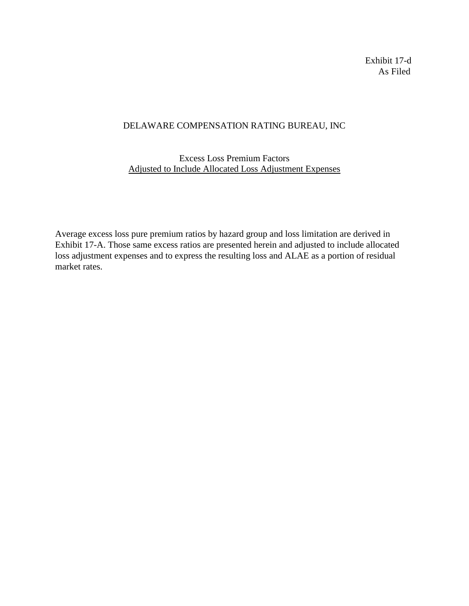Exhibit 17-d As Filed

## DELAWARE COMPENSATION RATING BUREAU, INC

## Excess Loss Premium Factors Adjusted to Include Allocated Loss Adjustment Expenses

Average excess loss pure premium ratios by hazard group and loss limitation are derived in Exhibit 17-A. Those same excess ratios are presented herein and adjusted to include allocated loss adjustment expenses and to express the resulting loss and ALAE as a portion of residual market rates.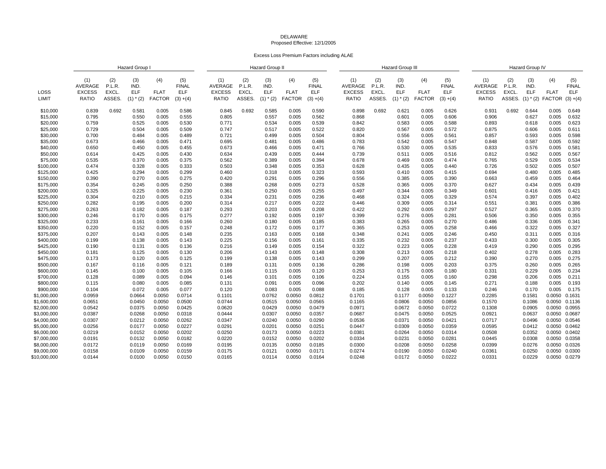## DELAWAREProposed Effective: 12/1/2005

Excess Loss Premium Factors including ALAE

|               |                                                 |                                  | Hazard Group                              |                                     |                                                  | <b>Hazard Group II</b>                          |                                  |                                            |                                     |                                                  |                                                 | <b>Hazard Group III</b>          |                                     |                                     |                                                  |                                                        | Hazard Group IV                  |                                           |                                     |                                                  |  |
|---------------|-------------------------------------------------|----------------------------------|-------------------------------------------|-------------------------------------|--------------------------------------------------|-------------------------------------------------|----------------------------------|--------------------------------------------|-------------------------------------|--------------------------------------------------|-------------------------------------------------|----------------------------------|-------------------------------------|-------------------------------------|--------------------------------------------------|--------------------------------------------------------|----------------------------------|-------------------------------------------|-------------------------------------|--------------------------------------------------|--|
| LOSS<br>LIMIT | (1)<br>AVERAGE<br><b>EXCESS</b><br><b>RATIO</b> | (2)<br>P.L.R.<br>EXCL.<br>ASSES. | (3)<br>IND.<br><b>ELF</b><br>$(1)$ $*(2)$ | (4)<br><b>FLAT</b><br><b>FACTOR</b> | (5)<br><b>FINAL</b><br><b>ELF</b><br>$(3) + (4)$ | (1)<br>AVERAGE<br><b>EXCESS</b><br><b>RATIO</b> | (2)<br>P.L.R.<br>EXCL.<br>ASSES. | (3)<br>IND.<br><b>ELF</b><br>$(1)$ * $(2)$ | (4)<br><b>FLAT</b><br><b>FACTOR</b> | (5)<br><b>FINAL</b><br><b>ELF</b><br>$(3) + (4)$ | (1)<br>AVERAGE<br><b>EXCESS</b><br><b>RATIO</b> | (2)<br>P.L.R.<br>EXCL.<br>ASSES. | (3)<br>IND.<br>ELF<br>$(1)$ * $(2)$ | (4)<br><b>FLAT</b><br><b>FACTOR</b> | (5)<br><b>FINAL</b><br><b>ELF</b><br>$(3) + (4)$ | (1)<br><b>AVERAGE</b><br><b>EXCESS</b><br><b>RATIO</b> | (2)<br>P.L.R.<br>EXCL.<br>ASSES. | (3)<br>IND.<br><b>ELF</b><br>$(1)$ $*(2)$ | (4)<br><b>FLAT</b><br><b>FACTOR</b> | (5)<br><b>FINAL</b><br><b>ELF</b><br>$(3) + (4)$ |  |
| \$10,000      | 0.839                                           | 0.692                            | 0.581                                     | 0.005                               | 0.586                                            | 0.845                                           | 0.692                            | 0.585                                      | 0.005                               | 0.590                                            | 0.898                                           | 0.692                            | 0.621                               | 0.005                               | 0.626                                            | 0.931                                                  | 0.692                            | 0.644                                     | 0.005                               | 0.649                                            |  |
| \$15,000      | 0.795                                           |                                  | 0.550                                     | 0.005                               | 0.555                                            | 0.805                                           |                                  | 0.557                                      | 0.005                               | 0.562                                            | 0.868                                           |                                  | 0.601                               | 0.005                               | 0.606                                            | 0.906                                                  |                                  | 0.627                                     | 0.005                               | 0.632                                            |  |
| \$20,000      | 0.759                                           |                                  | 0.525                                     | 0.005                               | 0.530                                            | 0.771                                           |                                  | 0.534                                      | 0.005                               | 0.539                                            | 0.842                                           |                                  | 0.583                               | 0.005                               | 0.588                                            | 0.893                                                  |                                  | 0.618                                     | 0.005                               | 0.623                                            |  |
| \$25,000      | 0.729                                           |                                  | 0.504                                     | 0.005                               | 0.509                                            | 0.747                                           |                                  | 0.517                                      | 0.005                               | 0.522                                            | 0.820                                           |                                  | 0.567                               | 0.005                               | 0.572                                            | 0.875                                                  |                                  | 0.606                                     | 0.005                               | 0.611                                            |  |
| \$30,000      | 0.700                                           |                                  | 0.484                                     | 0.005                               | 0.489                                            | 0.721                                           |                                  | 0.499                                      | 0.005                               | 0.504                                            | 0.804                                           |                                  | 0.556                               | 0.005                               | 0.561                                            | 0.857                                                  |                                  | 0.593                                     | 0.005                               | 0.598                                            |  |
| \$35,000      | 0.673                                           |                                  | 0.466                                     | 0.005                               | 0.471                                            | 0.695                                           |                                  | 0.481                                      | 0.005                               | 0.486                                            | 0.783                                           |                                  | 0.542                               | 0.005                               | 0.547                                            | 0.848                                                  |                                  | 0.587                                     | 0.005                               | 0.592                                            |  |
| \$40,000      | 0.650                                           |                                  | 0.450                                     | 0.005                               | 0.455                                            | 0.673                                           |                                  | 0.466                                      | 0.005                               | 0.471                                            | 0.766                                           |                                  | 0.530                               | 0.005                               | 0.535                                            | 0.833                                                  |                                  | 0.576                                     | 0.005                               | 0.581                                            |  |
| \$50,000      | 0.614                                           |                                  | 0.425                                     | 0.005                               | 0.430                                            | 0.634                                           |                                  | 0.439                                      | 0.005                               | 0.444                                            | 0.739                                           |                                  | 0.511                               | 0.005                               | 0.516                                            | 0.812                                                  |                                  | 0.562                                     | 0.005                               | 0.567                                            |  |
| \$75,000      | 0.535                                           |                                  | 0.370                                     | 0.005                               | 0.375                                            | 0.562                                           |                                  | 0.389                                      | 0.005                               | 0.394                                            | 0.678                                           |                                  | 0.469                               | 0.005                               | 0.474                                            | 0.765                                                  |                                  | 0.529                                     | 0.005                               | 0.534                                            |  |
| \$100,000     | 0.474                                           |                                  | 0.328                                     | 0.005                               | 0.333                                            | 0.503                                           |                                  | 0.348                                      | 0.005                               | 0.353                                            | 0.628                                           |                                  | 0.435                               | 0.005                               | 0.440                                            | 0.726                                                  |                                  | 0.502                                     | 0.005                               | 0.507                                            |  |
| \$125,000     | 0.425                                           |                                  | 0.294                                     | 0.005                               | 0.299                                            | 0.460                                           |                                  | 0.318                                      | 0.005                               | 0.323                                            | 0.593                                           |                                  | 0.410                               | 0.005                               | 0.415                                            | 0.694                                                  |                                  | 0.480                                     | 0.005                               | 0.485                                            |  |
| \$150,000     | 0.390                                           |                                  | 0.270                                     | 0.005                               | 0.275                                            | 0.420                                           |                                  | 0.291                                      | 0.005                               | 0.296                                            | 0.556                                           |                                  | 0.385                               | 0.005                               | 0.390                                            | 0.663                                                  |                                  | 0.459                                     | 0.005                               | 0.464                                            |  |
| \$175,000     | 0.354                                           |                                  | 0.245                                     | 0.005                               | 0.250                                            | 0.388                                           |                                  | 0.268                                      | 0.005                               | 0.273                                            | 0.528                                           |                                  | 0.365                               | 0.005                               | 0.370                                            | 0.627                                                  |                                  | 0.434                                     | 0.005                               | 0.439                                            |  |
| \$200,000     | 0.325                                           |                                  | 0.225                                     | 0.005                               | 0.230                                            | 0.361                                           |                                  | 0.250                                      | 0.005                               | 0.255                                            | 0.497                                           |                                  | 0.344                               | 0.005                               | 0.349                                            | 0.601                                                  |                                  | 0.416                                     | 0.005                               | 0.421                                            |  |
| \$225,000     | 0.304                                           |                                  | 0.210                                     | 0.005                               | 0.215                                            | 0.334                                           |                                  | 0.231                                      | 0.005                               | 0.236                                            | 0.468                                           |                                  | 0.324                               | 0.005                               | 0.329                                            | 0.574                                                  |                                  | 0.397                                     | 0.005                               | 0.402                                            |  |
| \$250,000     | 0.282                                           |                                  | 0.195                                     | 0.005                               | 0.200                                            | 0.314                                           |                                  | 0.217                                      | 0.005                               | 0.222                                            | 0.446                                           |                                  | 0.309                               | 0.005                               | 0.314                                            | 0.551                                                  |                                  | 0.381                                     | 0.005                               | 0.386                                            |  |
| \$275,000     | 0.263                                           |                                  | 0.182                                     | 0.005                               | 0.187                                            | 0.293                                           |                                  | 0.203                                      | 0.005                               | 0.208                                            | 0.422                                           |                                  | 0.292                               | 0.005                               | 0.297                                            | 0.527                                                  |                                  | 0.365                                     | 0.005                               | 0.370                                            |  |
| \$300,000     | 0.246                                           |                                  | 0.170                                     | 0.005                               | 0.175                                            | 0.277                                           |                                  | 0.192                                      | 0.005                               | 0.197                                            | 0.399                                           |                                  | 0.276                               | 0.005                               | 0.281                                            | 0.506                                                  |                                  | 0.350                                     | 0.005                               | 0.355                                            |  |
| \$325,000     | 0.233                                           |                                  | 0.161                                     | 0.005                               | 0.166                                            | 0.260                                           |                                  | 0.180                                      | 0.005                               | 0.185                                            | 0.383                                           |                                  | 0.265                               | 0.005                               | 0.270                                            | 0.486                                                  |                                  | 0.336                                     | 0.005                               | 0.341                                            |  |
| \$350,000     | 0.220                                           |                                  | 0.152                                     | 0.005                               | 0.157                                            | 0.248                                           |                                  | 0.172                                      | 0.005                               | 0.177                                            | 0.365                                           |                                  | 0.253                               | 0.005                               | 0.258                                            | 0.466                                                  |                                  | 0.322                                     | 0.005                               | 0.327                                            |  |
| \$375,000     | 0.207                                           |                                  | 0.143                                     | 0.005                               | 0.148                                            | 0.235                                           |                                  | 0.163                                      | 0.005                               | 0.168                                            | 0.348                                           |                                  | 0.241                               | 0.005                               | 0.246                                            | 0.450                                                  |                                  | 0.311                                     | 0.005                               | 0.316                                            |  |
| \$400,000     | 0.199                                           |                                  | 0.138                                     | 0.005                               | 0.143                                            | 0.225                                           |                                  | 0.156                                      | 0.005                               | 0.161                                            | 0.335                                           |                                  | 0.232                               | 0.005                               | 0.237                                            | 0.433                                                  |                                  | 0.300                                     | 0.005                               | 0.305                                            |  |
| \$425,000     | 0.190                                           |                                  | 0.131                                     | 0.005                               | 0.136                                            | 0.216                                           |                                  | 0.149                                      | 0.005                               | 0.154                                            | 0.322                                           |                                  | 0.223                               | 0.005                               | 0.228                                            | 0.419                                                  |                                  | 0.290                                     | 0.005                               | 0.295                                            |  |
| \$450,000     | 0.181                                           |                                  | 0.125                                     | 0.005                               | 0.130                                            | 0.206                                           |                                  | 0.143                                      | 0.005                               | 0.148                                            | 0.308                                           |                                  | 0.213                               | 0.005                               | 0.218                                            | 0.402                                                  |                                  | 0.278                                     | 0.005                               | 0.283                                            |  |
| \$475,000     | 0.173                                           |                                  | 0.120                                     | 0.005                               | 0.125                                            | 0.199                                           |                                  | 0.138                                      | 0.005                               | 0.143                                            | 0.299                                           |                                  | 0.207                               | 0.005                               | 0.212                                            | 0.390                                                  |                                  | 0.270                                     | 0.005                               | 0.275                                            |  |
| \$500,000     | 0.167                                           |                                  | 0.116                                     | 0.005                               | 0.121                                            | 0.189                                           |                                  | 0.131                                      | 0.005                               | 0.136                                            | 0.286                                           |                                  | 0.198                               | 0.005                               | 0.203                                            | 0.375                                                  |                                  | 0.260                                     | 0.005                               | 0.265                                            |  |
| \$600,000     | 0.145                                           |                                  | 0.100                                     | 0.005                               | 0.105                                            | 0.166                                           |                                  | 0.115                                      | 0.005                               | 0.120                                            | 0.253                                           |                                  | 0.175                               | 0.005                               | 0.180                                            | 0.331                                                  |                                  | 0.229                                     | 0.005                               | 0.234                                            |  |
| \$700,000     | 0.128                                           |                                  | 0.089                                     | 0.005                               | 0.094                                            | 0.146                                           |                                  | 0.101                                      | 0.005                               | 0.106                                            | 0.224                                           |                                  | 0.155                               | 0.005                               | 0.160                                            | 0.298                                                  |                                  | 0.206                                     | 0.005                               | 0.211                                            |  |
| \$800,000     | 0.115                                           |                                  | 0.080                                     | 0.005                               | 0.085                                            | 0.131                                           |                                  | 0.091                                      | 0.005                               | 0.096                                            | 0.202                                           |                                  | 0.140                               | 0.005                               | 0.145                                            | 0.271                                                  |                                  | 0.188                                     | 0.005                               | 0.193                                            |  |
| \$900,000     | 0.104                                           |                                  | 0.072                                     | 0.005                               | 0.077                                            | 0.120                                           |                                  | 0.083                                      | 0.005                               | 0.088                                            | 0.185                                           |                                  | 0.128                               | 0.005                               | 0.133                                            | 0.246                                                  |                                  | 0.170                                     | 0.005                               | 0.175                                            |  |
| \$1,000,000   | 0.0959                                          |                                  | 0.0664                                    | 0.0050                              | 0.0714                                           | 0.1101                                          |                                  | 0.0762                                     | 0.0050                              | 0.0812                                           | 0.1701                                          |                                  | 0.1177                              | 0.0050                              | 0.1227                                           | 0.2285                                                 |                                  | 0.1581                                    | 0.0050                              | 0.1631                                           |  |
| \$1,600,000   | 0.0651                                          |                                  | 0.0450                                    | 0.0050                              | 0.0500                                           | 0.0744                                          |                                  | 0.0515                                     | 0.0050                              | 0.0565                                           | 0.1165                                          |                                  | 0.0806                              | 0.0050                              | 0.0856                                           | 0.1570                                                 |                                  | 0.1086                                    | 0.0050 0.1136                       |                                                  |  |
| \$2,000,000   | 0.0542                                          |                                  | 0.0375                                    | 0.0050                              | 0.0425                                           | 0.0620                                          |                                  | 0.0429                                     | 0.0050                              | 0.0479                                           | 0.0971                                          |                                  | 0.0672                              | 0.0050                              | 0.0722                                           | 0.1308                                                 |                                  | 0.0905                                    | 0.0050                              | 0.0955                                           |  |
| \$3,000,000   | 0.0387                                          |                                  | 0.0268                                    | 0.0050                              | 0.0318                                           | 0.0444                                          |                                  | 0.0307                                     | 0.0050                              | 0.0357                                           | 0.0687                                          |                                  | 0.0475                              | 0.0050                              | 0.0525                                           | 0.0921                                                 |                                  | 0.0637                                    | 0.0050                              | 0.0687                                           |  |
| \$4,000,000   | 0.0307                                          |                                  | 0.0212                                    | 0.0050                              | 0.0262                                           | 0.0347                                          |                                  | 0.0240                                     | 0.0050                              | 0.0290                                           | 0.0536                                          |                                  | 0.0371                              | 0.0050                              | 0.0421                                           | 0.0717                                                 |                                  | 0.0496                                    | 0.0050                              | 0.0546                                           |  |
| \$5,000,000   | 0.0256                                          |                                  | 0.0177                                    | 0.0050                              | 0.0227                                           | 0.0291                                          |                                  | 0.0201                                     | 0.0050                              | 0.0251                                           | 0.0447                                          |                                  | 0.0309                              | 0.0050                              | 0.0359                                           | 0.0595                                                 |                                  | 0.0412                                    | 0.0050                              | 0.0462                                           |  |
| \$6,000,000   | 0.0219                                          |                                  | 0.0152                                    | 0.0050                              | 0.0202                                           | 0.0250                                          |                                  | 0.0173                                     | 0.0050                              | 0.0223                                           | 0.0381                                          |                                  | 0.0264                              | 0.0050                              | 0.0314                                           | 0.0508                                                 |                                  | 0.0352                                    | 0.0050                              | 0.0402                                           |  |
| \$7,000,000   | 0.0191                                          |                                  | 0.0132                                    | 0.0050                              | 0.0182                                           | 0.0220                                          |                                  | 0.0152                                     | 0.0050                              | 0.0202                                           | 0.0334                                          |                                  | 0.0231                              | 0.0050                              | 0.0281                                           | 0.0445                                                 |                                  | 0.0308                                    | 0.0050                              | 0.0358                                           |  |
| \$8,000,000   | 0.0172                                          |                                  | 0.0119                                    | 0.0050                              | 0.0169                                           | 0.0195                                          |                                  | 0.0135                                     | 0.0050                              | 0.0185                                           | 0.0300                                          |                                  | 0.0208                              | 0.0050                              | 0.0258                                           | 0.0399                                                 |                                  | 0.0276                                    | 0.0050                              | 0.0326                                           |  |
| \$9,000,000   | 0.0158                                          |                                  | 0.0109                                    | 0.0050                              | 0.0159                                           | 0.0175                                          |                                  | 0.0121                                     | 0.0050                              | 0.0171                                           | 0.0274                                          |                                  | 0.0190                              | 0.0050                              | 0.0240                                           | 0.0361                                                 |                                  | 0.0250                                    | 0.0050                              | 0.0300                                           |  |
|               | 0.0144                                          |                                  | 0.0100                                    | 0.0050                              | 0.0150                                           | 0.0165                                          |                                  | 0.0114                                     | 0.0050                              | 0.0164                                           | 0.0248                                          |                                  | 0.0172                              | 0.0050                              | 0.0222                                           | 0.0331                                                 |                                  | 0.0229                                    | 0.0050                              | 0.0279                                           |  |
| \$10,000,000  |                                                 |                                  |                                           |                                     |                                                  |                                                 |                                  |                                            |                                     |                                                  |                                                 |                                  |                                     |                                     |                                                  |                                                        |                                  |                                           |                                     |                                                  |  |